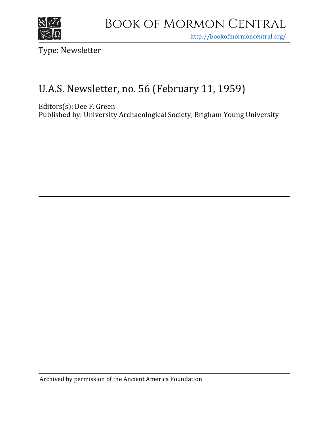

## Book of Mormon Central

<http://bookofmormoncentral.org/>

Type: Newsletter

## U.A.S. Newsletter, no. 56 (February 11, 1959)

Editors(s): Dee F. Green

Published by: University Archaeological Society, Brigham Young University

Archived by permission of the Ancient America Foundation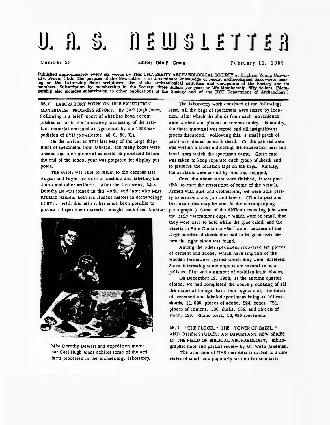## 11 2 11 3 1 2 1 1 2 3  $\mathbf{J}$ ,  $\mathbf{J}$ ,  $\mathbf{S}$ .

Number 56 Editor; Dee F. Green Fe brua ry 11, 1959

Published approximately every six weeks by THE UNIVERSITY ARCHAEOLOGICAL SOCIETY at Brigham Young Univer-<br>sity, Provo, Utah. The purpose of the Newsletter is to disseminate knowledge of recent archaeological discoveries be ing on the Latter-day Saint scriptures; also of the archaeological activities and viewpoints of the Society and its<br>members. Subscription by membership in the Society: three dollars per year; or Life Membership, fifty doll

56. 0 LABORATORY WORK ON 1958 EXPEDITION MATERIALS; PROGRESS REPORT. By Carl Hugh Jones. Following is a brief report of what has been accomplished so far in the laboratory processing of the artifact material obtained at Aguacatal by the 1958 expedition of BYU (Newsletter, 48. 0, 50. 01).

On the arrival at BYU last May of the large shipment of specimens from Mexico, the many boxes were opened and such material as could be processed before the end of the school year was prepared for display purposes.

The writer was able to return to the campus last August and begin the work of washing and labeling the sherds and other artifacts. After the first week, Miss Dorothy DeWitt joined in this work, and later also Miss Kristine Hansen; both are student majors in archaeology at BYU. With this help it has since been possible to process all specimen material brought back from Mexico.



Miss Dorothy DeWitt and expedition member Carl Hugh Jones exhibit some of the artifacts processed in the archaeology laboratory.

The laboratory work consisted of the following: First, all the bags of specimens were sorted by location, after which the sherds from each provenience were washed and placed on screens to dry. When dry, the sherd material was sorted and all insignificant pieces discarded. Following this, a small patch of paint was placed on each sherd. On the painted area was written a label indicating the excavation unit and level from which the specimen came. Great care was taken to keep separate each group of sherds and to preserve the location tags on the bags. Finally, the artifacts were sorted by kind and counted.

Once the above steps were finished, it was possible to start the restoration of some of the vessels. Armed with glue and clothespins, we were able partly to restore many jars and bowls. (The largest and best examples may be seen in the accompanying photograph. ) Some of the difficult mending jobs were the little "sacrament cups, " which were so small that they were hard to hold while the glue dried; and the vessels in Fine Cinnamon-Buff ware, because of the large number of sherds that had to be gone over before the right piece was found.

Among the other specimens recovered are pieces of cement and adobe, which have imprints of the wooden framework against which they were plastered. Some interesting stone objects are several celts of polished flint and a number of obsidian knife blades.

On December 19, 1958, as the autumn quarter closed, we had completed the above processing of all the material brought back from Aguacatal, the totals of preserved and labeled specimens being as follows: sherds, 11, 520; pieces of adobe, 224; bones, 721; pieces of cement, 130; shells, 369; and objects of stone, 126. Grand total, 13, 090 specimens.

56. 1 "THE FLOOD, " THE ''TOWER OF BABEL, " AND OTHER STUDIES; AN IMPORTANT NEW SERIES IN THE FIELD OF BIBLICAL ARCHAEOLOGY. Bibliographic note and partial review by M. Wells Jakeman.

The attention of UAS members is called to a new series of small and popularly written but scholarly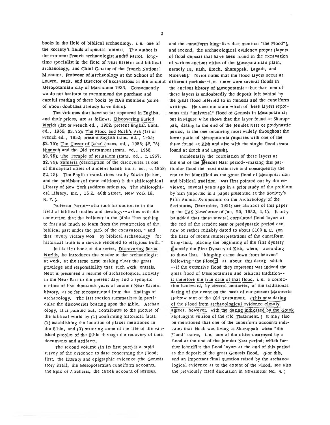books in the field of biblical archaeology, i. e. one of the Society'<sup>s</sup> fields of special interest. The author is the eminent French archaeologist Andre parrot, longtime specialist in the field of Near Eastern and biblical archaeology, and Chief Curator of the French National Museums, Professor of Archaeology at the School of the Louvre, Paris, and Director of Excavations at the ancient Mesopotamian city of Mari since 1933. Consequently we do not hesitate to recommend the purchase and careful reading of these books by UAS members (some of whom doubtless already have them).

The volumes that have so far appeared in English, and their prices, are as follows; Discovering Buried Worlds (1st or French ed., 1952; present English trans, ed., 1955; \$3. 75); The Flood and Noah'<sup>s</sup> Ark (1st or French ed. , 1952; present English trans, ed., 1955; \$2.75); The Tower of Babel (trans, ed. , 1955; \$2.75); Nineveh and the Old Testament (trans, ed., 1955; \$2.75); The Temple of Jerusalem (trans, ed., c. 1957; \$2. 75); Samaria (description of the discoveries at one of the capital cities of ancient Israel; trans, ed. , c. 1958; \$2. 75). The English translations are by Edwin Hudson, and the publisher (of these editions) is the philosophical Library of New York (address orders to; The philosophical Library, Inc. , 15 E. 40th Street, New York 16, N. Y. ).

Professor parrot--who took his doctorate in the field of biblical studies and theology--writes with the conviction that the believer in the Bible ''has nothing to fear and much to learn from the resurrection of the biblical past under the pick of the excavators, '' and that ''every victory won by biblical archaeology for historical truth is a service rendered to religious truth. "

In his first book of the series, Discovering Buried Worlds, he introduces the reader to the archaeologist at work, at the same time making clear the great privilege and responsibility that such work entails. Next is presented <sup>a</sup> resume of archaeological activity in the Near East to the present day; and a synoptic outline of five thousands years of ancient Near Eastern history, as so far reconstructed from the findings of archaeology. The last section summarizes in particular the discoveries bearing upon the Bible. Archaeology, it is pointed out, contributes to the picture of the biblical world by (1) confirming historical facts, (2) establishing the location of places mentioned in the Bible, and (3) restoring some of the life of the vanished peoples of the Bible through the recovery of their documents and artifacts.

The second volume (in its first part) is a rapid survey of the evidence to date concerning the Flood; first, the literary and epigraphic evidence (the Genesis story itself, the Mesopotamian cuneiform accounts, the Epic of Atrahasis, the Greek account of Berosus,

and the cuneiform king-lists that mention "the Flood"), and second, the archaeological evidence proper (layers of flood deposit that have been found in the excavation of various ancient cities of the Mesopotamian plain, namely Ur, Kish, Erech, Shuruppak, Lagash, and Nineveh), Parrot notes that the flood layers occur at different periods--i. e. there were several floods in the ancient history of Mesopotamia--but that one of these layers is undoubtedly the deposit left behind by the great flood referred to in Genesis and the cuneiform writings. He does not state which of these layers represents this ''universal" flood of Genesis in Mesopotamia; but in Figure V he shows that the layer found at Shuruppak, dating to the end of the Jemdet Nasr or predynastic period, is the one occurring most widely throughout the lower plain of Mesopotamia (equates with one of the three found at Kish and also with the single flood strata found at Erech and Lagash).

Incidentally the correlation of these layers at the end of the Mendet Nasr period--making this particular flood the most extensive and consequently the one to be identified as the great flood of Mesopotamian and biblical tradition--was first pointed out by the reviewer, several years ago in a prior study of the problem by him (reported in a paper presented at the Society'<sup>s</sup> Fifth Annual Symposium on the Archaeology of the Scriptures, December, 1951; see abstract of this paper in the UAS Newsletter of Jan. 20, 1952, 4. 1). It may be added that these several correlated flood layers at the end of the Jemdet Nasr or predynastic period can now be rather reliably dated to about 3100 B. C. (on the basis of recent reinterpretations of the cuneiform King-lists, placing the beginning of the first dynasty (namely the First Dynasty of Kish, when, according to these lists, ''kingship came down from heaven" following "the  $F$ lood" at about this date); which --if the extensive flood they represent was indeed the great flood of Mesopotamian and biblical tradition- is therefore the true date of that flood, i. e. a correction backward, by several centuries, of the traditional dating of the event on the basis of our present Masoretic Hebrew text of the Old Testament. (This new dating of the Flood from archaeological evidence closely agrees, however, with the dating indicated by the Greek Septuagint version of the Old Testament. ) It may also be mentioned that one of the cuneiform accounts indicates that Noah was living at Shuruppak when ''the Flood" came, i. e. one of the cities destroyed by a flood at the end of the jemdet Nasr period; which further identifies the flood layers at the end of this period as the deposit of the great Genesis flood. (For this, and an important final question raised by the archaeological evidence as to the extent of the Flood, see also the previously cited discussion in Newsletter No. 4. )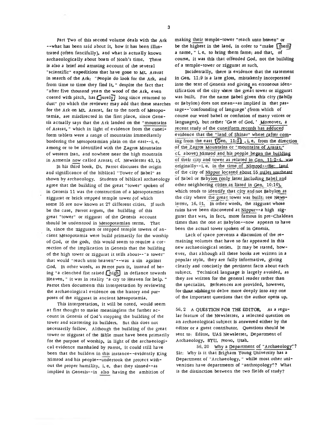Part Two of this second volume deals with the Ark --what has been said about it, how it has been illustrated (often fancifully), and what is actually known archaeologically about boats of Noah'<sup>s</sup> time. There is also a brief and amusing account of the several ''scientific" expeditions that have gone to Mt. Ararat in search of the Ark: "People do look for the Ark, and from time to time they find it, " despite the fact that "after five thousand years the wood of the Ark, even coated with pitch, has  $\boxed{\text{surely}}$  long since returned to dust" (to which the reviewer may add that these searches for the Ark on Mt. Ararat, far to the north of Mesopotamia, are misdirected in the first place, since Genesis actually says that the Ark landed on the "mountains of Ararat," which in light of evidence from the cuneiform tablets were <sup>a</sup> range of mountains immediately bordering the Mesopotamian plain on the east--i. e. among or to be identified with the Zagros Mountains of western Iran, and nowhere near the high mountain in Armenia now called Ararat; cf. Newsletter 43.1).

In his third book, Dr. parrot discusses the origin and significance of the biblical ''Tower of Babel" as shown by archaeology. Students of biblical archaeology agree that the building of the great ''tower" spoken of in Genesis 11 was the construction of a Mesopotamian ziggurat or brick stepped temple tower (of which some 35 are now known at 27 different cities. If such be the case, parrot argues, the building of this great ''tower" or ziggurat of the Genesis account should be understood in Mesopotamian terms. That is, since the ziggurats or stepped temple towers of ancient Mesopotamia were build primarily for the worship of God, or the gods, this would seem to require a correction of the implication in Genesis that the building of the high tower or ziggurat it tells about--"a tower" that would "reach unto heaven"--was a sin against God. In other words, as parrot puts it, instead of being "a clenched fist raised  $[$ high $]$  in defiance towards Heaven, '' it was in reality "a cry to Heaven for help. " Parrot then documents this interpretation by reviewing the archaeological evidence on the history and purposes of the ziggurat in ancient Mesopotamia.

This interpretation, it will be noted, would seem at first thought to make meaningless the further account in Genesis of God'<sup>s</sup> stopping the building of the tower and scattering its builders. But this does not necessarily follow. Although the building of the great tower or ziggurat of the Bible must have been primarily for the purpose of worship, in light of the archaeological evidence marshaled by parrot, it could still have been that the builders in this instance--evidently King Nimrod and his people--undertook the project without the proper humility, i. e. that they sinned--as implied in Genesis--in also having the ambition of

making their temple-tower "reach unto heaven" or be the highest in the land, in order to "make  $\lceil \text{them} \rceil$ a name, " i.e. to bring them fame; and that, of course, it was this that offended God, not the building of a temple-tower or ziggurat as such.

Incidentally, there is evidence that the statement in Gen. 11:9 is a late gloss, mistakenly incorporated into the text of Genesis and giving an erroneous identification of the city where the great tower or ziggurat was built. For the name Babel given this city (Babity or Babylon) does not mean--as implied in that passage--'confounding of language' (from which of course our word babel or confusion of many voices or languages), but rather 'Gate of God. ' Moreover, a recent study of the cuneiform records has adduced evidence that the "land of Shinar" where (after coming from the east  $\boxed{Gen. 11:2}$ , i.e. from the direction of the Zagros Mountains or "mountains of Ararat;" cf. above) Nimrod and his people began the building of their city and tower as related in Gen. 11:2-4. was originally--i.e. in the time of Nimrod--thee land of the city of Nippur located about 55 miles southeast of Babel or Babylon (only later including Babel and other neighboring cities as listed in Gen. 10:10), which tends to identify that city and not Babylon as the city where the great tower was built; see Newsletter, 16. 01. In other words, the ziggurat whose ruins have been discovered at Nippur--a high ziggurat that was, in fact, more famous in pre-Chaldean times than the one at Babylon--now appears to have been the actual tower spoken of in Genesis.

Lack of space prevents a discussion of the remaining volumes that have so far appeared in this new archaeological series. It may be stated, however, that although all these books are written in <sup>a</sup> popular style, they are fully informative, giving clearly and concisely the pertinent facts about each subject. Technical language is largely avoided, as they are written for the general reader rather than the specialist. References are provided, however, for those.wiishingto delve more deeply into any one of the important questions that the author opens up.

56. 2 A QUESTION FOR THE EDITOR. As a regular feature of the Newsletter, a selected question on an archaeological subject is answered either by the editor or a guest contributor. Questions should be sent to: Editor, UAS Newsletter, Department of Archaeology, BYU, Provo, Utah.

56.20 Why a Department of "Archaeology"? Sir: Why is it that Brigham Young University has <sup>a</sup> Department of "Archaeology, " while most other universities have departments of "anthropology?? What is the distinction between the two fields of study?

3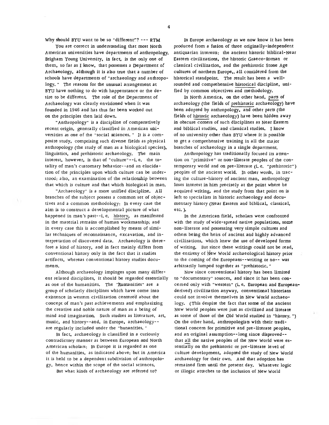Why should BYU want to be so "different"?  $---$  RTM

You are correct in understanding that most North American universities have departments of anthropology. Brigham Young University, in fact, is the only one of them, so far as I know, that possesses a Department of Archaeology, although it is also true that a number of schools have departments of ''archaeology and anthropology. " The reasons for the unusual arrangement at BYU have nothing to do with happenstance or the desire to be different. The role of the Department of Archaeology was clearly envisioned when it was founded in 1946 and has thus far been worked out on the principles then laid down.

"Anthropology" is a discipline of comparatively recent origin, generally classified in American universities as one of the ''social sciences. '' It is a composite study, comprising such diverse fields as physical anthropology (the study of man as a biological species), linguistics, and prehistoric archaeology. The main interest, however, is that of "culture"--i. e. the totality of man'<sup>s</sup> customary behavior--and an elucidation of the principles upon which culture can be understood; also, an examination of the relationship between that which is culture and that which biological in man.

"Archaeology" is a more unified discipline. All branches of the subject possess <sup>a</sup> common set of objectives and a common methodology: In every case the aim is to construct <sup>a</sup> developmental picture of what happened in man'<sup>s</sup> past--i. e. history, as manifested in the material remains of human workmanship; and in every case this is accomplished by means of similar techniques of reconnaissance, excavation, and interpretation of discovered data. Archaeology is therefore a kind of history, and in fact mainly differs from conventional history only in the fact that it studies artifacts, whereas conventional history studies documents.

Although archaeology impinges upon many different related disciplines, it should be regarded essentially as one of the humanities. The "Humanities" are a group of scholarly disciplines which have come into existence in western civilization centered about the concept of man's past achievements and emphasizing the creative and noble nature of man as a being of mind and imagination. Such studies as literature, art, music, and history--and, in Europe, archaeologyare regularly included under the "hunanities. "

In fact, archaeology is classified in a curiously contradictory manner as between European and North American scholars: In Europe it is regarded as one of the humanities, as indicated above; but in America it is held to be <sup>a</sup> dependent subdivision of anthropology, hence within the scope of the social sciences.

But what kinds of archaeology are referred to?

In Europe archaeology as we now know it has been produced from a fusion of three originally-independent antiquarian interests: the ancient historic biblical-Near Eastern civilizations, the historic Graeco-Roman or classical civilization, and the prehistoric Stone Age cultures of northern Europe,, all considered from the historical standpoint. The result has been a wellrounded and comprehensive historical discipline, unified by common objectives and methodology.

In North America, on the other hand, parts of archaeology (the fields of prehistoric archaeology) have been adopted by anthropology, and other parts (the fields of historic archaeology) have been hidden away in obscure corners of such disciplines as Near Eastern and biblical studies, and classical studies. I know of no university other than BYU where it is possible to get <sup>a</sup> comprehensive training in all the major branches of archaeology in a single department.

Anthropology has traditionally focused its attention on "primitive" or non-l£terate peoples of the contemporary world and on pre-literate (i. e. "prehistoric") peoples of the ancient world. In other words, in tracing the culture-history of ancient man, anthropology loses interest in him precisely at the point where he acquired writing, and the study from that point on is left to specialists in historic archaeology and documentary history (Near Eastern and biblical, classical, etc. ).

In the American field, scholars were confronted with the study of wide-spread native populations, some non-literate and possessing very simple cultures and others being the heirs of ancient and highly advanced civilizations, which knew the use of developed forms of writing. But since these writings could not be read, the entirety of New World archaeological history prior to the coming of the Europeans--writing or no-- was arbitrarily lumped together as "prehistoric. "

Now since conventional history has been limited to "documentary" sources, and since it has been concerned only with "western" (i. e. European and Europeanderived) civilization anyway, conventional historians could not involve themselves in New World archaeology. (This despite the fact that some of the ancient New World peoples were just as civilized and literate as some of those of the Old World studied in "history. ") On the other hand, anthropologists with their traditional concern for primitive and pre-literate peoples, and an original assumption--long since disproved- that all the native peoples of the New World were essentially on the prehistoric or pre-literate level of culture development, adopted the study of New World archaeology for their own. And that adoption has remained firm until the present day. Whatever logic or illogic attaches to the inclusion of New World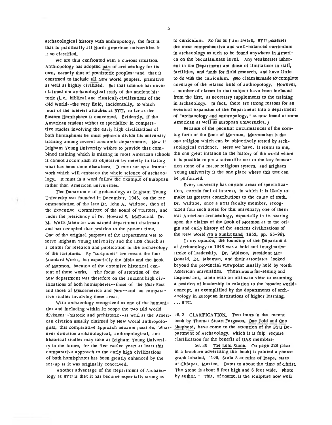archaeological history with anthropology, the fact is that in practically all North American universities it is so classified.

We are thus confronted with a curious situation. Anthropology has adopted part of archaeology for its own, namely that of prehistoric peoples—and that is construed to include all New World peoples, primitive as well as highly civilized. But that science has never claimed die archaeological study of the ancient historic (i. e. biblical and classical) civilizations of the Old World--the very field, incidentally, to which most of the interest attaches at BYU, so far as the Eastern Hemisphere is concerned. Evidently, if the American student wishes to specialize in comparative studies involving the early high civilizations of both hemispheres he must perforce divide his university training among several academic departments. Now if Brigham Young University wishes to provide that combined training which is missing in most American schools it cannot accomplish its objective by merely imitating what has been done elsewhere. It must set up a framework which will embrace the whole science of archaeology. It must in a word follow the example of European rather than American universities.

The Department of Archaeology at Brigham Young University was founded in December, 1946, on the recommendation of the late Dr. John A. Widtsoe, then of the Executive Committee of the Board of Trustees, and under the presidency of Dr. Howard S. McDonald. Dr. M. Wells Jakeman was named department chairman and has occupied that position to the present time. One of the original purposes of the Department was to serve Brigham Young University and the LDS church as a center for research and publication in the archaeology of the scriptures. By "scriptures" are meant the four Standard Works, but especially the Bible and the Book of Mormon, because of the extensive historical content of these works. The focus of attention of the new department was therefore on the ancient high civilizations of both hemispheres--those of the Near East and those of Mesoamerica and peru--and on comparative studies involving these areas.

With archaeology recognized as one of the humanities and including within its scope the two Old World divisions--historic and prehistoric--as well as the Ameri-56. 3 CLARIFICATION. Two items in the recent can division usually claimed by New World anthropologists, this comparative approach became possible. What- Shepherd, have come to the attention of the BYU Deever direction archaeological, anthropological, and historical studies may take at Brigham Young University in the future, for the first twelve years at least this comparative approach to the early high civilizations of both hemispheres has been greatly enhanced by the set-up as it was originally conceived.

Another advantage of the Department of Archaeology at BYU is that it has become especially strong as

to curriculum. So fas as I am aware, BYU possesses the most comprehensive and well-balanced curriculum in archaeology as such to be found anywhere in America on the baccalaureate level. Any weaknesses inherent in the Department are those of limitations in staff, facilities, and funds for field research, and have little to do with the curriculum. (No claim is made to:complete coverage of the related field of anthropology. However, a number of classes in that subject have been included from the first, as necessary supplements to the training in archaeology. In fact, there are strong reasons for an eventual expansion of the Department into a department of "archaeology and anthropology, " as now found at some American as well as European universities. )

Because of the peculiar circumstances of the coming forth of the Book of Mormon, Mormonism is the one religion which can be objectively tested by archaeological evidence. Here we have, it seems to me, the one great instance in the history of the world where it is possible to put a scientific test to the key foundation stone of a major religious system, and Brigham Young University is the one place where this test can be performed.

Every university has certain areas of specialization, certain foci of interest, in which it is likely to make its greatest contributions to the cause of truth. Dr. Widtsoe, once a BYU faculty member, recognized four such areas for this university; one of them was American archaeology, especially in its bearing upon the claims of the Book of Mormon as to the origin and early history of the ancient civilizations of the New World (In a Sunlit Land, 1953, pp. 95-96).

In my opinion, the founding of the Department of Archaeology in 1946 was a bold and imaginative stroke of leadership. Dr. Widtsoe, president Mc-Donald, Dr. jakeman, and their associates looked beyond the provincial viewpoint usually held by North American universities. Theirs was a far-seeing and inspired act, taken with an ultimate view to assuming a position of leadership in relation to the broader worldconcept, as exemplified by the departments of archaeology in European institutions of higher learning.  $\cdots$  RTC.

book by Thomas Stuart Ferguson, One Fold and One partment of Archaeology, which it is felt require clarification for the benefit of UAS members:

56. 30 The Lehi Stone. On page 228 (also in a brochure advertising this book) is printed a photograph labeled, "109. Stela 5 at ruins of Izapa, state of Chiapas, Mexico. Dates to about the time of Christ. The Stone is about 8 feet high and 6 feet wide, photo by author. " This, of course, is the sculpture now well